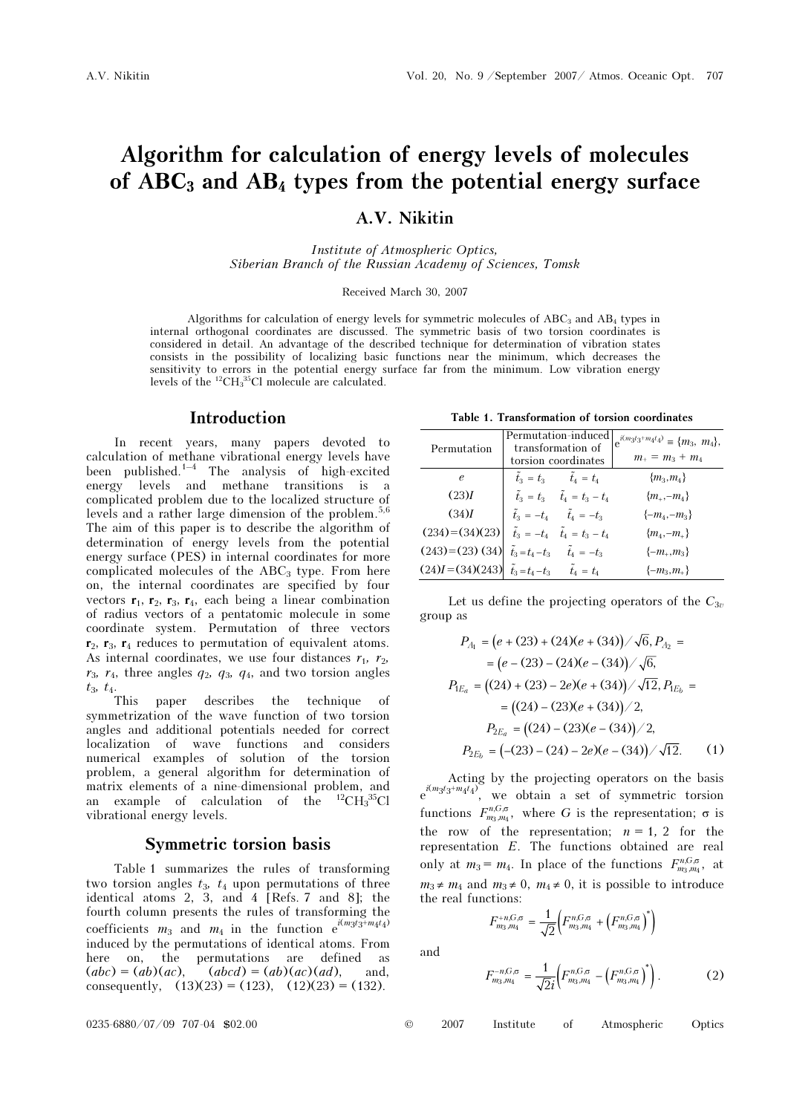# Algorithm for calculation of energy levels of molecules of  $ABC_3$  and  $AB_4$  types from the potential energy surface

A.V. Nikitin

Institute of Atmospheric Optics, Siberian Branch of the Russian Academy of Sciences, Tomsk

Received March 30, 2007

Algorithms for calculation of energy levels for symmetric molecules of  $ABC_3$  and  $AB_4$  types in internal orthogonal coordinates are discussed. The symmetric basis of two torsion coordinates is considered in detail. An advantage of the described technique for determination of vibration states consists in the possibility of localizing basic functions near the minimum, which decreases the sensitivity to errors in the potential energy surface far from the minimum. Low vibration energy levels of the  ${}^{12}CH_{3}{}^{35}Cl$  molecule are calculated.

#### Introduction

In recent years, many papers devoted to calculation of methane vibrational energy levels have been published.<sup>1–4</sup> The analysis of high-excited energy levels and methane transitions is a complicated problem due to the localized structure of levels and a rather large dimension of the problem.5,6 The aim of this paper is to describe the algorithm of determination of energy levels from the potential energy surface (PES) in internal coordinates for more complicated molecules of the  $ABC<sub>3</sub>$  type. From here on, the internal coordinates are specified by four vectors  $\mathbf{r}_1$ ,  $\mathbf{r}_2$ ,  $\mathbf{r}_3$ ,  $\mathbf{r}_4$ , each being a linear combination of radius vectors of a pentatomic molecule in some coordinate system. Permutation of three vectors  $r_2$ ,  $r_3$ ,  $r_4$  reduces to permutation of equivalent atoms. As internal coordinates, we use four distances  $r_1$ ,  $r_2$ ,  $r_3$ ,  $r_4$ , three angles  $q_2$ ,  $q_3$ ,  $q_4$ , and two torsion angles

 $t_3$ ,  $t_4$ .<br>This paper describes the technique of symmetrization of the wave function of two torsion angles and additional potentials needed for correct localization of wave functions and considers numerical examples of solution of the torsion problem, a general algorithm for determination of matrix elements of a nine-dimensional problem, and an example of calculation of the  ${}^{12}CH_{3}^{35}Cl$ vibrational energy levels.

### Symmetric torsion basis

Table 1 summarizes the rules of transforming two torsion angles  $t_3$ ,  $t_4$  upon permutations of three identical atoms 2, 3, and 4 [Refs. 7 and 8]; the fourth column presents the rules of transforming the coefficients  $m_3$  and  $m_4$  in the function  $e^{i(m_3t_3+m_4t_4)}$ induced by the permutations of identical atoms. From here on, the permutations are defined as  $(abc) = (ab)(ac)$ ,  $(abcd) = (ab)(ac)(ad)$ , and, consequently,  $(13)(23) = (123)$ ,  $(12)(23) = (132)$ .

Table 1. Transformation of torsion coordinates

| алмин соотвинала                                                  |                                                                 |                                                |                                                                    |  |  |  |
|-------------------------------------------------------------------|-----------------------------------------------------------------|------------------------------------------------|--------------------------------------------------------------------|--|--|--|
| Permutation                                                       | Permutation-induced<br>transformation of<br>torsion coordinates |                                                | $e^{i(m_3t_3+m_4t_4)} \equiv \{m_3, m_4\},\,$<br>$m_+ = m_3 + m_4$ |  |  |  |
| $\epsilon$                                                        |                                                                 | $\tilde{t}_3 = t_3$ $\tilde{t}_4 = t_4$        | ${m_3,m_4}$                                                        |  |  |  |
| (23)I                                                             |                                                                 | $\tilde{t}_3 = t_3$ $\tilde{t}_4 = t_3 - t_4$  | ${m_{+,-m_{4}}\}$                                                  |  |  |  |
| (34)I                                                             |                                                                 | $\tilde{t}_3 = -t_4$ $\tilde{t}_4 = -t_3$      | $\{-m_4,-m_3\}$                                                    |  |  |  |
| $(234) = (34)(23)$                                                |                                                                 | $\tilde{t}_3 = -t_4$ $\tilde{t}_4 = t_3 - t_4$ | ${m_{4}, -m_{+}}$                                                  |  |  |  |
| $(243)=(23)(34)$                                                  |                                                                 | $\tilde{t}_3 = t_4 - t_3$ $\tilde{t}_4 = -t_3$ | $\{-m_+,m_3\}$                                                     |  |  |  |
| $(24)I = (34)(243)$ $\tilde{t}_3 = t_4 - t_3$ $\tilde{t}_4 = t_4$ |                                                                 |                                                | $\{-m_3,m_{\perp}\}\$                                              |  |  |  |

Let us define the projecting operators of the  $C_{3v}$ group as

$$
P_{A_1} = (e + (23) + (24)(e + (34)) / \sqrt{6}, P_{A_2} =
$$
  
\n
$$
= (e - (23) - (24)(e - (34)) / \sqrt{6},
$$
  
\n
$$
P_{1E_a} = ((24) + (23) - 2e)(e + (34)) / \sqrt{12}, P_{1E_b} =
$$
  
\n
$$
= ((24) - (23)(e + (34)) / 2,
$$
  
\n
$$
P_{2E_a} = ((24) - (23)(e - (34)) / 2,
$$
  
\n
$$
P_{2E_b} = (-23) - (24) - 2e)(e - (34)) / \sqrt{12}.
$$
 (1)

Acting by the projecting operators on the basis  $e^{i(m_3t_3+m_4t_4)}$ , we obtain a set of symmetric torsion functions  $F_{m_3,m_4}^{n,G,\sigma}$ , where G is the representation;  $\sigma$  is the row of the representation;  $n = 1, 2$  for the representation E. The functions obtained are real only at  $m_3 = m_4$ . In place of the functions  $F_{m_3,m_4}^{n,G,s}$ , at  $m_3 \neq m_4$  and  $m_3 \neq 0$ ,  $m_4 \neq 0$ , it is possible to introduce the real functions:

$$
F_{m_3,m_4}^{+n,G,\sigma} = \frac{1}{\sqrt{2}} \Big( F_{m_3,m_4}^{n,G,\sigma} + \Big( F_{m_3,m_4}^{n,G,\sigma} \Big)^* \Big)
$$

and

$$
F_{m_3,m_4}^{-n,G,\sigma} = \frac{1}{\sqrt{2}i} \Big( F_{m_3,m_4}^{n,G,\sigma} - \Big( F_{m_3,m_4}^{n,G,\sigma} \Big)^* \Big) \,. \tag{2}
$$

 $0.0235 - 6880 / 07 / 09$  707-04 \$02.00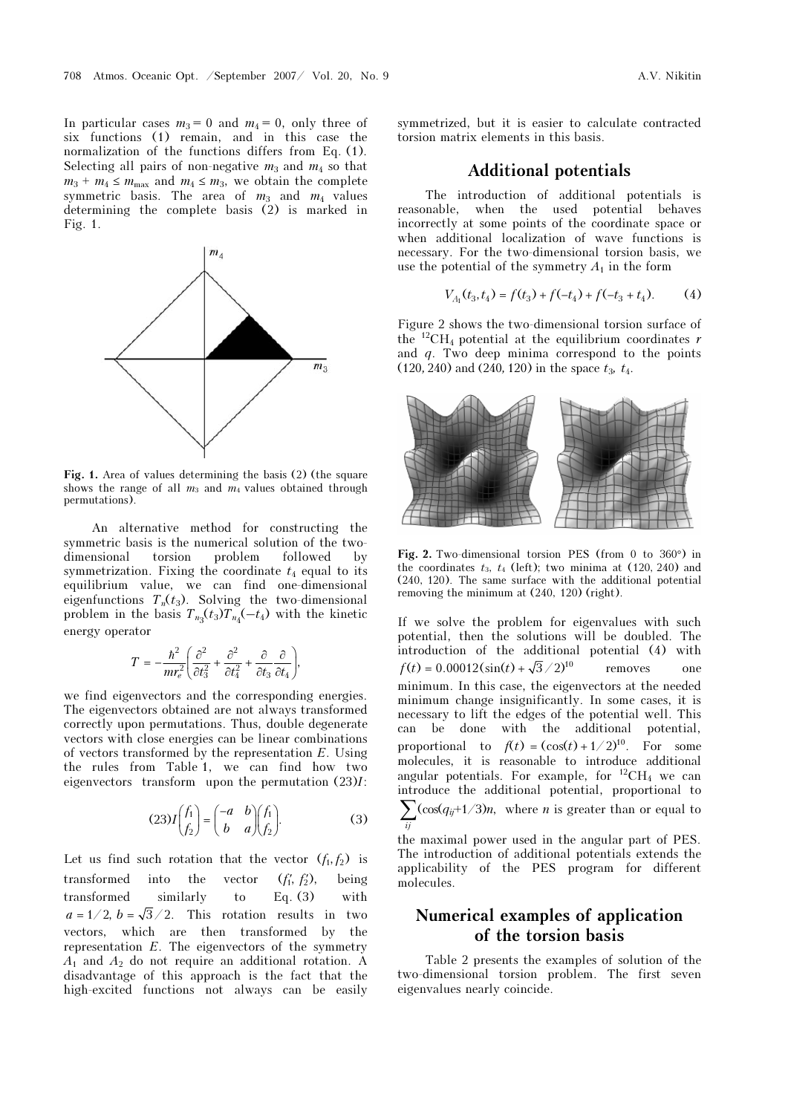In particular cases  $m_3 = 0$  and  $m_4 = 0$ , only three of six functions (1) remain, and in this case the normalization of the functions differs from Eq. (1). Selecting all pairs of non-negative  $m_3$  and  $m_4$  so that  $m_3 + m_4 \le m_{\text{max}}$  and  $m_4 \le m_3$ , we obtain the complete symmetric basis. The area of  $m_3$  and  $m_4$  values determining the complete basis (2) is marked in Fig. 1.



Fig. 1. Area of values determining the basis (2) (the square shows the range of all  $m_3$  and  $m_4$  values obtained through permutations).

An alternative method for constructing the symmetric basis is the numerical solution of the twodimensional torsion problem followed by symmetrization. Fixing the coordinate  $t_4$  equal to its equilibrium value, we can find one-dimensional eigenfunctions  $T_n(t_3)$ . Solving the two-dimensional problem in the basis  $T_{n_3}(t_3)T_{n_4}(-t_4)$  with the kinetic energy operator

$$
T = -\frac{\hbar^2}{mr_e^2} \left( \frac{\partial^2}{\partial t_3^2} + \frac{\partial^2}{\partial t_4^2} + \frac{\partial}{\partial t_3} \frac{\partial}{\partial t_4} \right),\,
$$

we find eigenvectors and the corresponding energies. The eigenvectors obtained are not always transformed correctly upon permutations. Thus, double degenerate vectors with close energies can be linear combinations of vectors transformed by the representation E. Using the rules from Table 1, we can find how two eigenvectors transform upon the permutation  $(23)I$ :

$$
(23)I\begin{pmatrix} f_1 \\ f_2 \end{pmatrix} = \begin{pmatrix} -a & b \\ b & a \end{pmatrix} \begin{pmatrix} f_1 \\ f_2 \end{pmatrix}.
$$
 (3)

Let us find such rotation that the vector  $(f_1, f_2)$  is transformed into the vector  $(f_1', f_2')$ , being transformed similarly to Eq. (3) with  $a = 1/2$ ,  $b = \sqrt{3}/2$ . This rotation results in two vectors, which are then transformed by the representation  $E$ . The eigenvectors of the symmetry  $A_1$  and  $A_2$  do not require an additional rotation. A disadvantage of this approach is the fact that the high-excited functions not always can be easily symmetrized, but it is easier to calculate contracted torsion matrix elements in this basis.

### Additional potentials

The introduction of additional potentials is reasonable, when the used potential behaves incorrectly at some points of the coordinate space or when additional localization of wave functions is necessary. For the two-dimensional torsion basis, we use the potential of the symmetry  $A_1$  in the form

$$
V_{A_1}(t_3, t_4) = f(t_3) + f(-t_4) + f(-t_3 + t_4). \tag{4}
$$

Figure 2 shows the two-dimensional torsion surface of the <sup>12</sup>CH<sub>4</sub> potential at the equilibrium coordinates r and  $q$ . Two deep minima correspond to the points (120, 240) and (240, 120) in the space  $t_3$ ,  $t_4$ .



Fig. 2. Two-dimensional torsion PES (from 0 to 360°) in the coordinates  $t_3$ ,  $t_4$  (left); two minima at (120, 240) and (240, 120). The same surface with the additional potential removing the minimum at (240, 120) (right).

If we solve the problem for eigenvalues with such potential, then the solutions will be doubled. The introduction of the additional potential (4) with  $f(t) = 0.00012(\sin(t) + \sqrt{3}/2)^{10}$  removes one minimum. In this case, the eigenvectors at the needed minimum change insignificantly. In some cases, it is necessary to lift the edges of the potential well. This can be done with the additional potential, proportional to  $f(t) = (\cos(t) + 1/2)^{10}$ . For some molecules, it is reasonable to introduce additional angular potentials. For example, for  ${}^{12}CH_4$  we can introduce the additional potential, proportional to  $\sum_{ij}$ (cos(q<sub>ij</sub>+1/3)n, where n is greater than or equal to

the maximal power used in the angular part of PES. The introduction of additional potentials extends the applicability of the PES program for different molecules.

# Numerical examples of application of the torsion basis

Table 2 presents the examples of solution of the two-dimensional torsion problem. The first seven eigenvalues nearly coincide.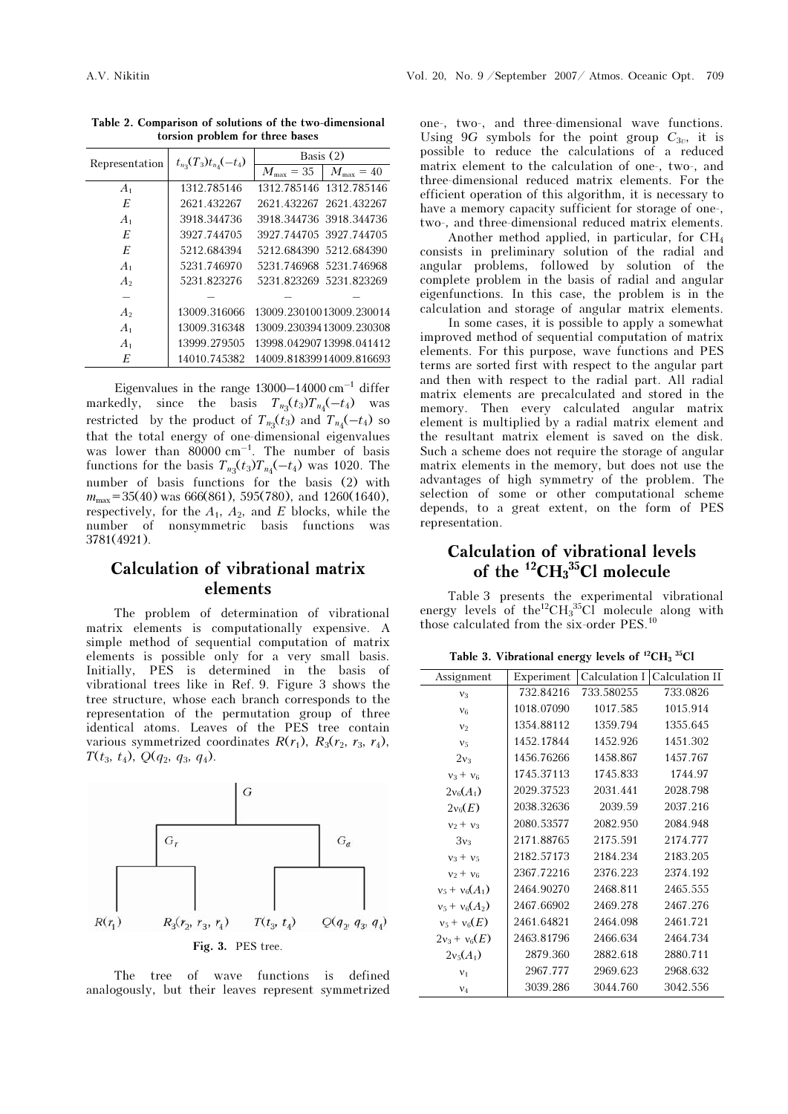| Representation | $t_{n_3}(T_3)t_{n_4}(-t_4)$ | Basis $(2)$             |                          |  |
|----------------|-----------------------------|-------------------------|--------------------------|--|
|                |                             | $M_{\rm max} = 35$      | $M_{\rm max}=40$         |  |
| A <sub>1</sub> | 1312.785146                 |                         | 1312.785146 1312.785146  |  |
| E              | 2621.432267                 | 2621.432267 2621.432267 |                          |  |
| A <sub>1</sub> | 3918.344736                 |                         | 3918.344736 3918.344736  |  |
| E              | 3927.744705                 | 3927.744705.3927.744705 |                          |  |
| E              | 5212.684394                 |                         | 5212.684390 5212.684390  |  |
| $A_1$          | 5231.746970                 |                         | 5231.746968 5231.746968  |  |
| A <sub>2</sub> | 5231 823276                 |                         | 5231.823269 5231.823269  |  |
|                |                             |                         |                          |  |
| A <sub>2</sub> | 13009.316066                |                         | 13009.23010013009.230014 |  |
| A <sub>1</sub> | 13009.316348                |                         | 13009.23039413009.230308 |  |
| A <sub>1</sub> | 13999.279505                |                         | 13998.04290713998.041412 |  |
| E              | 14010.745382                |                         | 14009.81839914009.816693 |  |

Table 2. Comparison of solutions of the two-dimensional torsion problem for three bases

Eigenvalues in the range  $13000-14000$  cm<sup>-1</sup> differ markedly, since the basis  $T_{n_3}(t_3)T_{n_4}(-t_4)$  was restricted by the product of  $T_{n_3}(t_3)$  and  $T_{n_4}(-t_4)$  so that the total energy of one-dimensional eigenvalues was lower than  $80000 \text{ cm}^{-1}$ . The number of basis functions for the basis  $T_{n_3}(t_3)T_{n_4}(-t_4)$  was 1020. The number of basis functions for the basis (2) with  $m_{\text{max}}$ =35(40) was 666(861), 595(780), and 1260(1640), respectively, for the  $A_1$ ,  $A_2$ , and E blocks, while the number of nonsymmetric basis functions was 3781(4921).

# Calculation of vibrational matrix elements

The problem of determination of vibrational matrix elements is computationally expensive. A simple method of sequential computation of matrix elements is possible only for a very small basis. Initially, PES is determined in the basis of vibrational trees like in Ref. 9. Figure 3 shows the tree structure, whose each branch corresponds to the representation of the permutation group of three identical atoms. Leaves of the PES tree contain various symmetrized coordinates  $R(r_1)$ ,  $R_3(r_2, r_3, r_4)$ ,  $T(t_3, t_4)$ ,  $Q(q_2, q_3, q_4)$ .



The tree of wave functions is defined analogously, but their leaves represent symmetrized one-, two-, and three-dimensional wave functions. Using 9G symbols for the point group  $C_{3v}$ , it is possible to reduce the calculations of a reduced matrix element to the calculation of one-, two-, and three-dimensional reduced matrix elements. For the efficient operation of this algorithm, it is necessary to have a memory capacity sufficient for storage of one-, two-, and three-dimensional reduced matrix elements.

 Another method applied, in particular, for CH<sup>4</sup> consists in preliminary solution of the radial and angular problems, followed by solution of the complete problem in the basis of radial and angular eigenfunctions. In this case, the problem is in the calculation and storage of angular matrix elements.

 In some cases, it is possible to apply a somewhat improved method of sequential computation of matrix elements. For this purpose, wave functions and PES terms are sorted first with respect to the angular part and then with respect to the radial part. All radial matrix elements are precalculated and stored in the memory. Then every calculated angular matrix element is multiplied by a radial matrix element and the resultant matrix element is saved on the disk. Such a scheme does not require the storage of angular matrix elements in the memory, but does not use the advantages of high symmetry of the problem. The selection of some or other computational scheme depends, to a great extent, on the form of PES representation.

# Calculation of vibrational levels of the  ${}^{12}CH_{3}{}^{35}Cl$  molecule

Table 3 presents the experimental vibrational energy levels of the<sup>12</sup>CH<sub>3</sub><sup>35</sup>Cl molecule along with those calculated from the six-order PES.<sup>10</sup>

Table 3. Vibrational energy levels of  $^{12}CH_3$   $^{35}Cl$ 

|            |            | Calculation I Calculation II |
|------------|------------|------------------------------|
| 732 84216  | 733.580255 | 733.0826                     |
| 1018.07090 | 1017.585   | 1015.914                     |
| 1354.88112 | 1359.794   | 1355.645                     |
| 1452.17844 | 1452.926   | 1451.302                     |
| 1456.76266 | 1458.867   | 1457.767                     |
| 1745.37113 | 1745.833   | 1744.97                      |
| 2029.37523 | 2031.441   | 2028.798                     |
| 2038.32636 | 2039.59    | 2037.216                     |
| 2080.53577 | 2082.950   | 2084.948                     |
| 2171.88765 | 2175.591   | 2174.777                     |
| 2182.57173 | 2184.234   | 2183.205                     |
| 2367.72216 | 2376.223   | 2374.192                     |
| 2464.90270 | 2468.811   | 2465.555                     |
| 2467.66902 | 2469.278   | 2467.276                     |
| 2461.64821 | 2464.098   | 2461.721                     |
| 2463.81796 | 2466.634   | 2464.734                     |
| 2879.360   | 2882.618   | 2880.711                     |
| 2967.777   | 2969.623   | 2968.632                     |
| 3039.286   | 3044.760   | 3042.556                     |
|            | Experiment |                              |